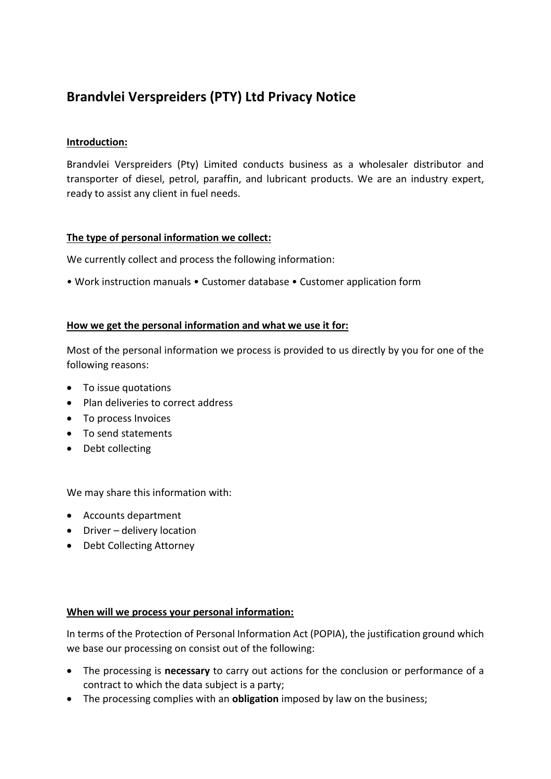# **Brandvlei Verspreiders (PTY) Ltd Privacy Notice**

# **Introduction:**

Brandvlei Verspreiders (Pty) Limited conducts business as a wholesaler distributor and transporter of diesel, petrol, paraffin, and lubricant products. We are an industry expert, ready to assist any client in fuel needs.

# **The type of personal information we collect:**

We currently collect and process the following information:

• Work instruction manuals • Customer database • Customer application form

# **How we get the personal information and what we use it for:**

Most of the personal information we process is provided to us directly by you for one of the following reasons:

- To issue quotations
- Plan deliveries to correct address
- To process Invoices
- To send statements
- Debt collecting

We may share this information with:

- Accounts department
- Driver delivery location
- Debt Collecting Attorney

### **When will we process your personal information:**

In terms of the Protection of Personal Information Act (POPIA), the justification ground which we base our processing on consist out of the following:

- The processing is **necessary** to carry out actions for the conclusion or performance of a contract to which the data subject is a party;
- The processing complies with an **obligation** imposed by law on the business;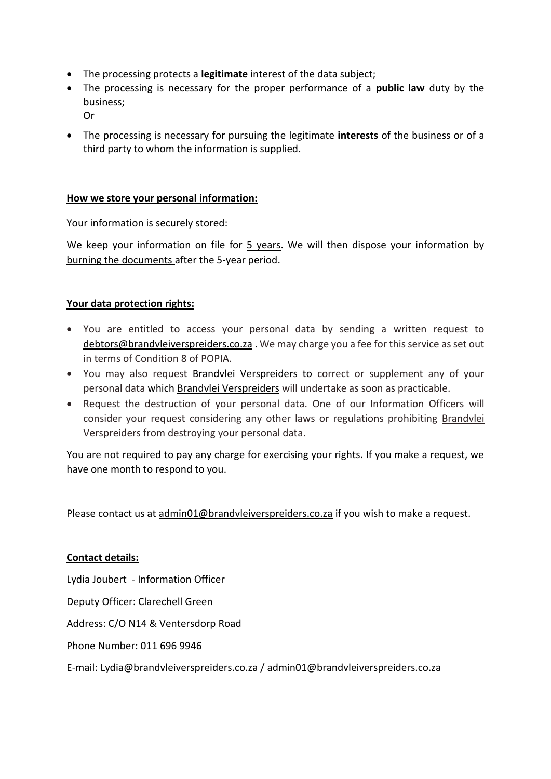- The processing protects a **legitimate** interest of the data subject;
- The processing is necessary for the proper performance of a **public law** duty by the business; Or
- The processing is necessary for pursuing the legitimate **interests** of the business or of a third party to whom the information is supplied.

# **How we store your personal information:**

Your information is securely stored:

We keep your information on file for 5 years. We will then dispose your information by burning the documents after the 5-year period.

# **Your data protection rights:**

- You are entitled to access your personal data by sending a written request to [debtors@brandvleiverspreiders.co.za](mailto:debtors@brandvleiverspreiders.co.za) . We may charge you a fee for this service as set out in terms of Condition 8 of POPIA.
- You may also request Brandvlei Verspreiders to correct or supplement any of your personal data which Brandvlei Verspreiders will undertake as soon as practicable.
- Request the destruction of your personal data. One of our Information Officers will consider your request considering any other laws or regulations prohibiting Brandvlei Verspreiders from destroying your personal data.

You are not required to pay any charge for exercising your rights. If you make a request, we have one month to respond to you.

Please contact us at admin01@brandvleiverspreiders.co.za if you wish to make a request.

### **Contact details:**

Lydia Joubert - Information Officer Deputy Officer: Clarechell Green Address: C/O N14 & Ventersdorp Road Phone Number: 011 696 9946 E-mail: [Lydia@brandvleiverspreiders.co.za](mailto:Lydia@brandvleiverspreiders.co.za) [/ admin01@brandvleiverspreiders.co.za](mailto:admin01@brandvleiverspreiders.co.za)